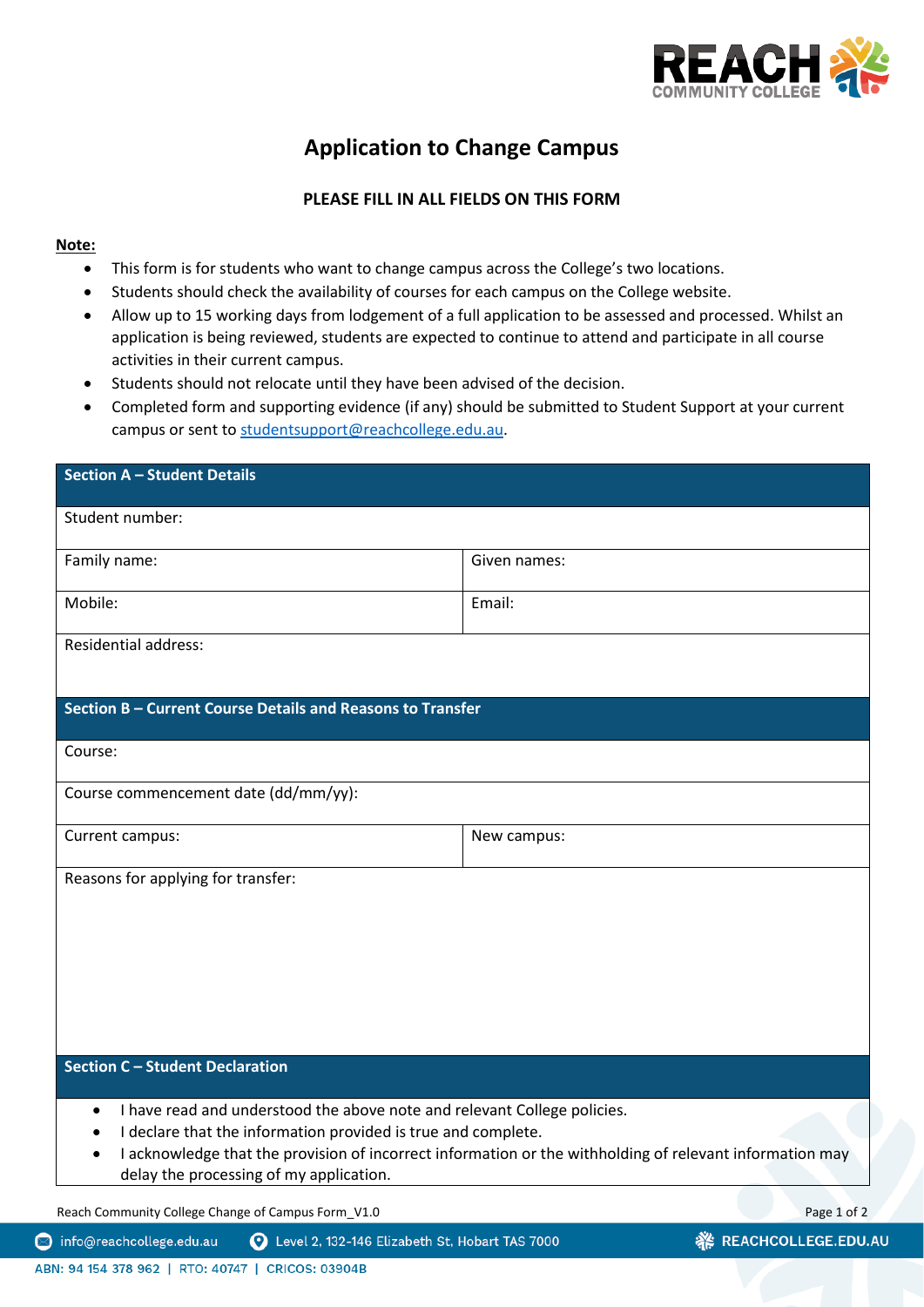

ūΓ

## **Application to Change Campus**

## **PLEASE FILL IN ALL FIELDS ON THIS FORM**

## **Note:**

- This form is for students who want to change campus across the College's two locations.
- Students should check the availability of courses for each campus on the College website.
- Allow up to 15 working days from lodgement of a full application to be assessed and processed. Whilst an application is being reviewed, students are expected to continue to attend and participate in all course activities in their current campus.
- Students should not relocate until they have been advised of the decision.
- Completed form and supporting evidence (if any) should be submitted to Student Support at your current campus or sent to [studentsupport@reachcollege.edu.au.](mailto:studentsupport@reachcollege.edu.au)

| <b>Section A - Student Details</b>                                                                                                                                                                                                                                                                                                      |              |                    |
|-----------------------------------------------------------------------------------------------------------------------------------------------------------------------------------------------------------------------------------------------------------------------------------------------------------------------------------------|--------------|--------------------|
| Student number:                                                                                                                                                                                                                                                                                                                         |              |                    |
| Family name:                                                                                                                                                                                                                                                                                                                            | Given names: |                    |
| Mobile:                                                                                                                                                                                                                                                                                                                                 | Email:       |                    |
| <b>Residential address:</b>                                                                                                                                                                                                                                                                                                             |              |                    |
| Section B - Current Course Details and Reasons to Transfer                                                                                                                                                                                                                                                                              |              |                    |
| Course:                                                                                                                                                                                                                                                                                                                                 |              |                    |
| Course commencement date (dd/mm/yy):                                                                                                                                                                                                                                                                                                    |              |                    |
| Current campus:                                                                                                                                                                                                                                                                                                                         | New campus:  |                    |
| Reasons for applying for transfer:                                                                                                                                                                                                                                                                                                      |              |                    |
| <b>Section C - Student Declaration</b>                                                                                                                                                                                                                                                                                                  |              |                    |
| I have read and understood the above note and relevant College policies.<br>$\bullet$<br>I declare that the information provided is true and complete.<br>$\bullet$<br>I acknowledge that the provision of incorrect information or the withholding of relevant information may<br>$\bullet$<br>delay the processing of my application. |              |                    |
| Reach Community College Change of Campus Form_V1.0                                                                                                                                                                                                                                                                                      |              | Page 1 of 2        |
| info@reachcollege.edu.au<br>Level 2, 132-146 Elizabeth St, Hobart TAS 7000                                                                                                                                                                                                                                                              | ₩            | REACHCOLLEGE.EDU.A |

⋐